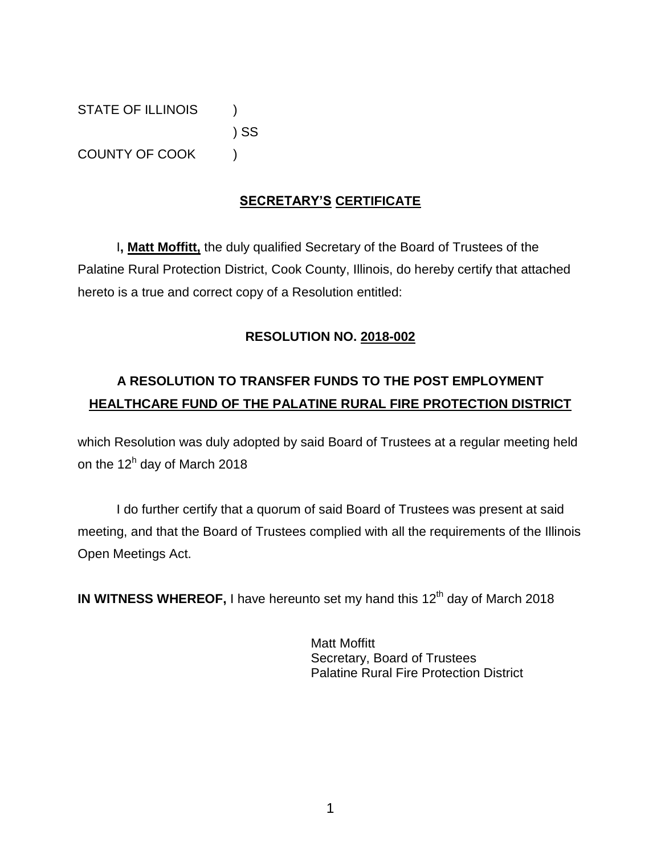STATE OF ILLINOIS (1) ) SS COUNTY OF COOK (

### **SECRETARY'S CERTIFICATE**

I**, Matt Moffitt,** the duly qualified Secretary of the Board of Trustees of the Palatine Rural Protection District, Cook County, Illinois, do hereby certify that attached hereto is a true and correct copy of a Resolution entitled:

#### **RESOLUTION NO. 2018-002**

# **A RESOLUTION TO TRANSFER FUNDS TO THE POST EMPLOYMENT HEALTHCARE FUND OF THE PALATINE RURAL FIRE PROTECTION DISTRICT**

which Resolution was duly adopted by said Board of Trustees at a regular meeting held on the 12<sup>h</sup> day of March 2018

I do further certify that a quorum of said Board of Trustees was present at said meeting, and that the Board of Trustees complied with all the requirements of the Illinois Open Meetings Act.

**IN WITNESS WHEREOF, I** have hereunto set my hand this 12<sup>th</sup> day of March 2018

Matt Moffitt Secretary, Board of Trustees Palatine Rural Fire Protection District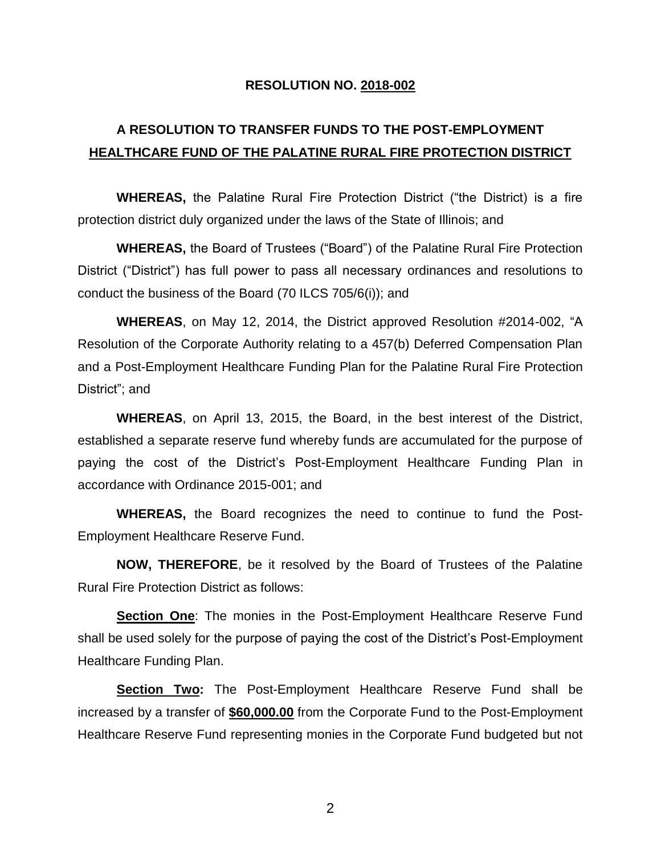#### **RESOLUTION NO. 2018-002**

# **A RESOLUTION TO TRANSFER FUNDS TO THE POST-EMPLOYMENT HEALTHCARE FUND OF THE PALATINE RURAL FIRE PROTECTION DISTRICT**

**WHEREAS,** the Palatine Rural Fire Protection District ("the District) is a fire protection district duly organized under the laws of the State of Illinois; and

**WHEREAS,** the Board of Trustees ("Board") of the Palatine Rural Fire Protection District ("District") has full power to pass all necessary ordinances and resolutions to conduct the business of the Board (70 ILCS 705/6(i)); and

**WHEREAS**, on May 12, 2014, the District approved Resolution #2014-002, "A Resolution of the Corporate Authority relating to a 457(b) Deferred Compensation Plan and a Post-Employment Healthcare Funding Plan for the Palatine Rural Fire Protection District"; and

**WHEREAS**, on April 13, 2015, the Board, in the best interest of the District, established a separate reserve fund whereby funds are accumulated for the purpose of paying the cost of the District's Post-Employment Healthcare Funding Plan in accordance with Ordinance 2015-001; and

**WHEREAS,** the Board recognizes the need to continue to fund the Post-Employment Healthcare Reserve Fund.

**NOW, THEREFORE**, be it resolved by the Board of Trustees of the Palatine Rural Fire Protection District as follows:

**Section One**: The monies in the Post-Employment Healthcare Reserve Fund shall be used solely for the purpose of paying the cost of the District's Post-Employment Healthcare Funding Plan.

**Section Two:** The Post-Employment Healthcare Reserve Fund shall be increased by a transfer of **\$60,000.00** from the Corporate Fund to the Post-Employment Healthcare Reserve Fund representing monies in the Corporate Fund budgeted but not

2